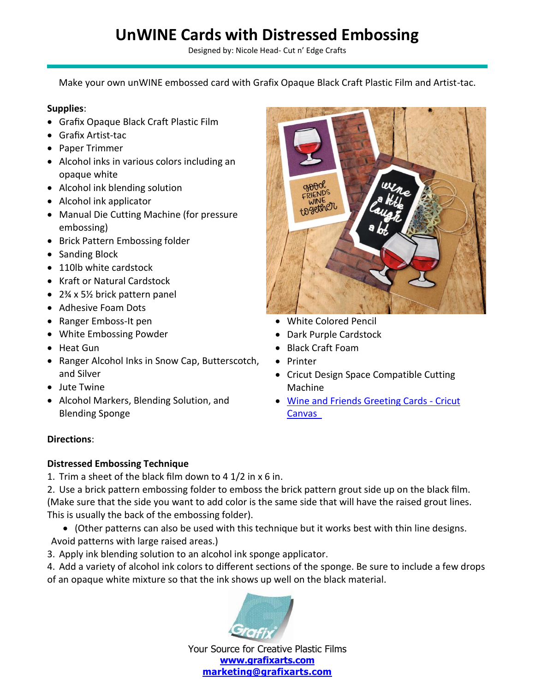# **UnWINE Cards with Distressed Embossing**

Designed by: Nicole Head- Cut n' Edge Crafts

Make your own unWINE embossed card with Grafix Opaque Black Craft Plastic Film and Artist-tac.

### **Supplies**:

- Grafix Opaque Black Craft Plastic Film
- Grafix Artist-tac
- Paper Trimmer
- Alcohol inks in various colors including an opaque white
- Alcohol ink blending solution
- Alcohol ink applicator
- Manual Die Cutting Machine (for pressure embossing)
- Brick Pattern Embossing folder
- Sanding Block
- 110lb white cardstock
- Kraft or Natural Cardstock
- 2¾ x 5½ brick pattern panel
- Adhesive Foam Dots
- Ranger Emboss-It pen
- White Embossing Powder
- Heat Gun
- Ranger Alcohol Inks in Snow Cap, Butterscotch, and Silver
- Jute Twine
- Alcohol Markers, Blending Solution, and Blending Sponge

# gether

- White Colored Pencil
- Dark Purple Cardstock
- Black Craft Foam
- Printer
- Cricut Design Space Compatible Cutting Machine
- [Wine and Friends Greeting Cards -](to%20https:/design.cricut.com/landing/project-detail/5ecccb8313f87b0dd4114937) Cricut [Canvas](to%20https:/design.cricut.com/landing/project-detail/5ecccb8313f87b0dd4114937)

### **Directions**:

### **Distressed Embossing Technique**

1. Trim a sheet of the black film down to 4 1/2 in x 6 in.

2. Use a brick pattern embossing folder to emboss the brick pattern grout side up on the black film. (Make sure that the side you want to add color is the same side that will have the raised grout lines. This is usually the back of the embossing folder).

- (Other patterns can also be used with this technique but it works best with thin line designs. Avoid patterns with large raised areas.)
- 3. Apply ink blending solution to an alcohol ink sponge applicator.

4. Add a variety of alcohol ink colors to different sections of the sponge. Be sure to include a few drops of an opaque white mixture so that the ink shows up well on the black material.



Your Source for Creative Plastic Films **[www.grafixarts.com](http://www.grafixarts.com/) [marketing@grafixarts.com](mailto:marketing@grafixarts.com)**